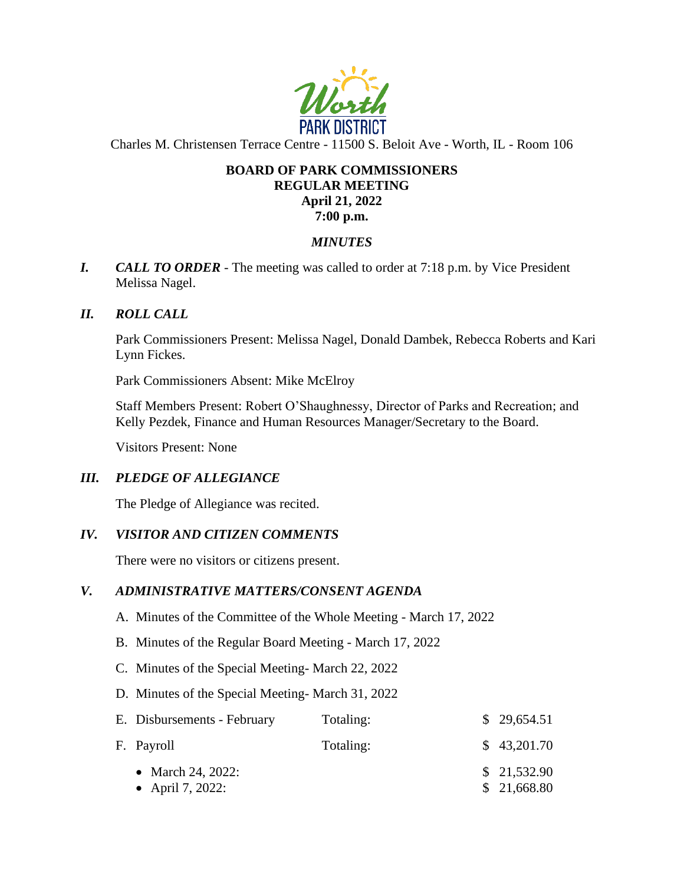

Charles M. Christensen Terrace Centre - 11500 S. Beloit Ave - Worth, IL - Room 106

# **BOARD OF PARK COMMISSIONERS REGULAR MEETING April 21, 2022 7:00 p.m.**

# *MINUTES*

*I. CALL TO ORDER* - The meeting was called to order at 7:18 p.m. by Vice President Melissa Nagel.

# *II. ROLL CALL*

Park Commissioners Present: Melissa Nagel, Donald Dambek, Rebecca Roberts and Kari Lynn Fickes.

Park Commissioners Absent: Mike McElroy

Staff Members Present: Robert O'Shaughnessy, Director of Parks and Recreation; and Kelly Pezdek, Finance and Human Resources Manager/Secretary to the Board.

Visitors Present: None

## *III. PLEDGE OF ALLEGIANCE*

The Pledge of Allegiance was recited.

## *IV. VISITOR AND CITIZEN COMMENTS*

There were no visitors or citizens present.

## *V. ADMINISTRATIVE MATTERS/CONSENT AGENDA*

- A. Minutes of the Committee of the Whole Meeting March 17, 2022
- B. Minutes of the Regular Board Meeting March 17, 2022
- C. Minutes of the Special Meeting- March 22, 2022
- D. Minutes of the Special Meeting- March 31, 2022

| E. Disbursements - February           | Totaling: | \$29,654.51                |
|---------------------------------------|-----------|----------------------------|
| F. Payroll                            | Totaling: | \$43,201.70                |
| • March 24, 2022:<br>• April 7, 2022: |           | \$21,532.90<br>\$21,668.80 |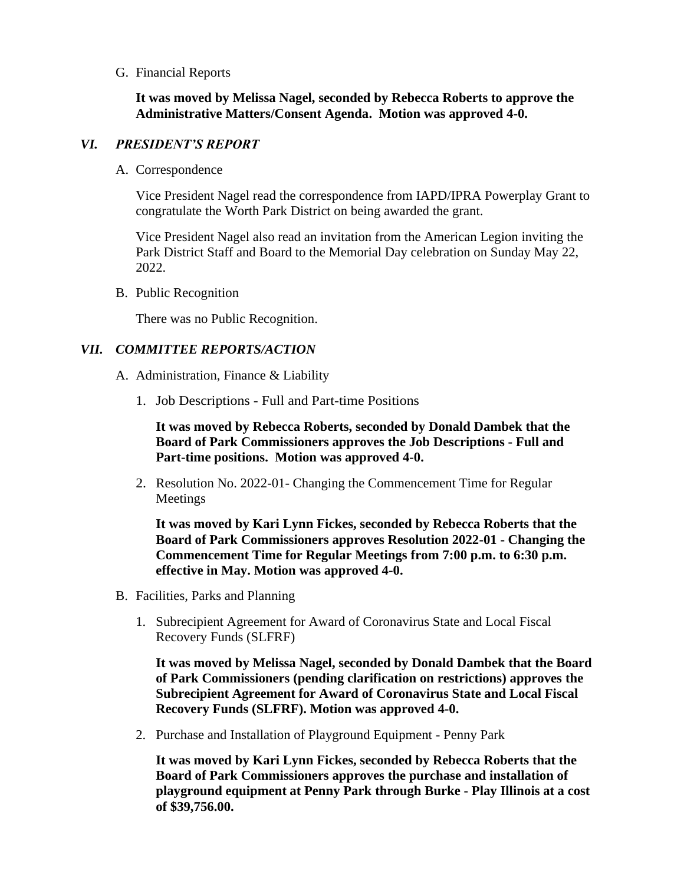## G. Financial Reports

**It was moved by Melissa Nagel, seconded by Rebecca Roberts to approve the Administrative Matters/Consent Agenda. Motion was approved 4-0.** 

### *VI. PRESIDENT'S REPORT*

A. Correspondence

Vice President Nagel read the correspondence from IAPD/IPRA Powerplay Grant to congratulate the Worth Park District on being awarded the grant.

Vice President Nagel also read an invitation from the American Legion inviting the Park District Staff and Board to the Memorial Day celebration on Sunday May 22, 2022.

B. Public Recognition

There was no Public Recognition.

## *VII. COMMITTEE REPORTS/ACTION*

- A. Administration, Finance & Liability
	- 1. Job Descriptions Full and Part-time Positions

**It was moved by Rebecca Roberts, seconded by Donald Dambek that the Board of Park Commissioners approves the Job Descriptions - Full and Part-time positions. Motion was approved 4-0.**

2. Resolution No. 2022-01- Changing the Commencement Time for Regular Meetings

**It was moved by Kari Lynn Fickes, seconded by Rebecca Roberts that the Board of Park Commissioners approves Resolution 2022-01 - Changing the Commencement Time for Regular Meetings from 7:00 p.m. to 6:30 p.m. effective in May. Motion was approved 4-0.** 

- B. Facilities, Parks and Planning
	- 1. Subrecipient Agreement for Award of Coronavirus State and Local Fiscal Recovery Funds (SLFRF)

**It was moved by Melissa Nagel, seconded by Donald Dambek that the Board of Park Commissioners (pending clarification on restrictions) approves the Subrecipient Agreement for Award of Coronavirus State and Local Fiscal Recovery Funds (SLFRF). Motion was approved 4-0.**

2. Purchase and Installation of Playground Equipment - Penny Park

**It was moved by Kari Lynn Fickes, seconded by Rebecca Roberts that the Board of Park Commissioners approves the purchase and installation of playground equipment at Penny Park through Burke - Play Illinois at a cost of \$39,756.00.**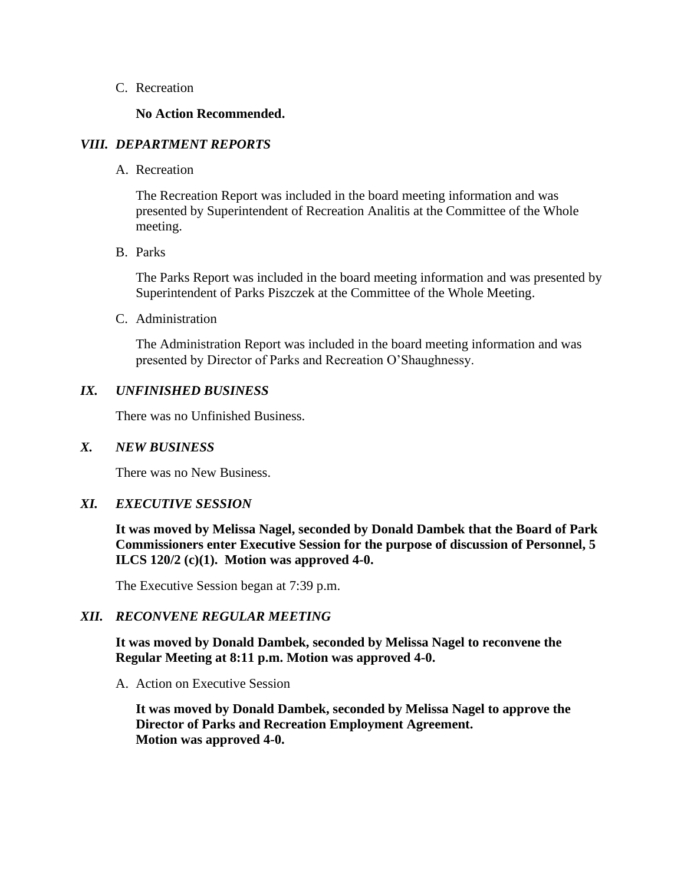#### C. Recreation

### **No Action Recommended.**

### *VIII. DEPARTMENT REPORTS*

A. Recreation

The Recreation Report was included in the board meeting information and was presented by Superintendent of Recreation Analitis at the Committee of the Whole meeting.

B. Parks

The Parks Report was included in the board meeting information and was presented by Superintendent of Parks Piszczek at the Committee of the Whole Meeting.

C. Administration

The Administration Report was included in the board meeting information and was presented by Director of Parks and Recreation O'Shaughnessy.

### *IX. UNFINISHED BUSINESS*

There was no Unfinished Business.

#### *X. NEW BUSINESS*

There was no New Business.

## *XI. EXECUTIVE SESSION*

**It was moved by Melissa Nagel, seconded by Donald Dambek that the Board of Park Commissioners enter Executive Session for the purpose of discussion of Personnel, 5 ILCS 120/2 (c)(1). Motion was approved 4-0.**

The Executive Session began at 7:39 p.m.

## *XII. RECONVENE REGULAR MEETING*

**It was moved by Donald Dambek, seconded by Melissa Nagel to reconvene the Regular Meeting at 8:11 p.m. Motion was approved 4-0.** 

A. Action on Executive Session

**It was moved by Donald Dambek, seconded by Melissa Nagel to approve the Director of Parks and Recreation Employment Agreement. Motion was approved 4-0.**